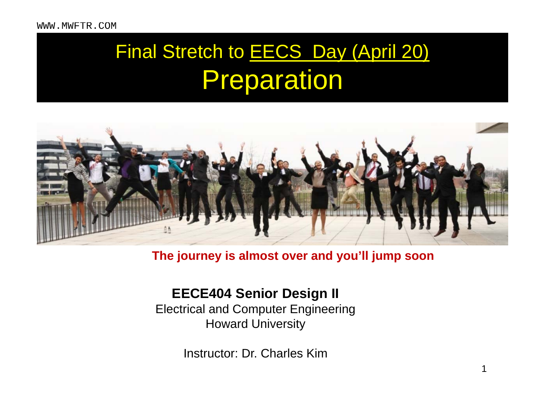## Final Stretch to EECS Day (April 20) Preparation



#### **The journey is almost over and you'll jump soon**

#### **EECE404 Senior Design II**

Electrical and Computer Engineering Howard University

Instructor: Dr. Charles Kim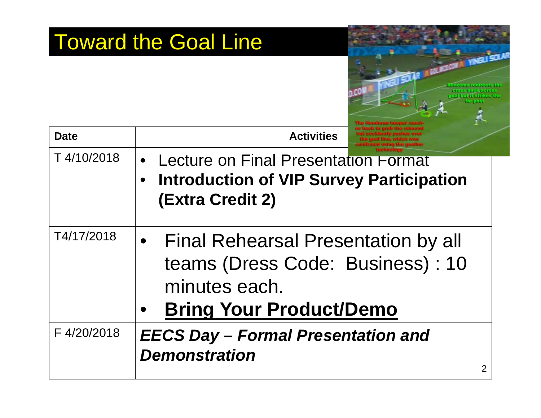|             | <b>Toward the Goal Line</b><br><b>PROGRAM</b>                                                                                     |
|-------------|-----------------------------------------------------------------------------------------------------------------------------------|
| <b>Date</b> | <b>Activities</b>                                                                                                                 |
| T4/10/2018  | Lecture on Final Presentation Format<br>$\bullet$<br><b>Introduction of VIP Survey Participation</b><br><b>(Extra Credit 2)</b>   |
| T4/17/2018  | <b>Final Rehearsal Presentation by all</b><br>teams (Dress Code: Business): 10<br>minutes each.<br><b>Bring Your Product/Demo</b> |
| F4/20/2018  | <b>EECS Day - Formal Presentation and</b><br><b>Demonstration</b><br>2                                                            |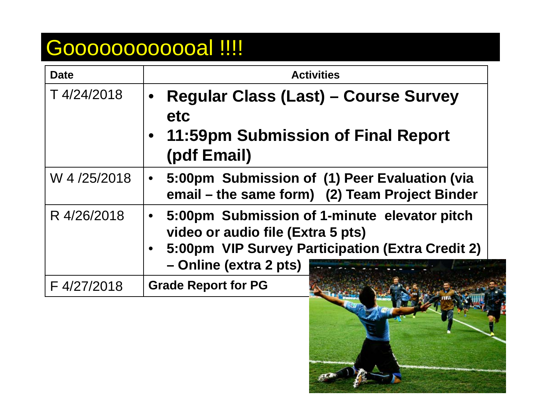## Gooooooooooo !!!!

| <b>Date</b> | <b>Activities</b>                                                                                                                                                              |
|-------------|--------------------------------------------------------------------------------------------------------------------------------------------------------------------------------|
| T4/24/2018  | <b>Regular Class (Last) – Course Survey</b><br>$\bullet$<br>etc<br>• 11:59pm Submission of Final Report<br>(pdf Email)                                                         |
| W 4/25/2018 | 5:00pm Submission of (1) Peer Evaluation (via<br>$\bullet$<br>email – the same form) (2) Team Project Binder                                                                   |
| R 4/26/2018 | 5:00pm Submission of 1-minute elevator pitch<br>$\bullet$<br>video or audio file (Extra 5 pts)<br>• 5:00pm VIP Survey Participation (Extra Credit 2)<br>- Online (extra 2 pts) |
| F4/27/2018  | <b>Grade Report for PG</b>                                                                                                                                                     |

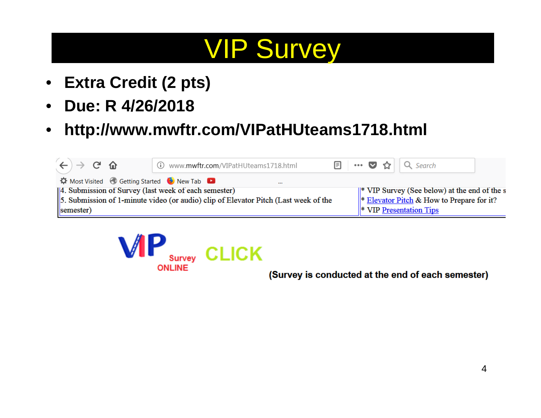## VIP Survey

- $\bullet$ **Extra Credit (2 pts)**
- $\bullet$ **Due: R 4/26/2018**
- $\bullet$ **http://www.mwftr.com/VIPatHUteams1718.html**

| $\rightarrow$ G $\Omega$                                                    | Www.mwftr.com/VIPatHUteams1718.html                                                 |  |  | $\boxed{\blacksquare}$ … ♡ ☆ $\vert$ Q Search                            |  |
|-----------------------------------------------------------------------------|-------------------------------------------------------------------------------------|--|--|--------------------------------------------------------------------------|--|
| <b><math>\hat{Q}</math></b> Most Visited <b>♦ Getting Started ♦ New Tab</b> |                                                                                     |  |  |                                                                          |  |
| [4. Submission of Survey (last week of each semester)                       |                                                                                     |  |  | $\parallel^*$ VIP Survey (See below) at the end of the s                 |  |
|                                                                             | 5. Submission of 1-minute video (or audio) clip of Elevator Pitch (Last week of the |  |  | $\ *\underline{\text{Elevantor Pitch}} \& \text{How to Prepare for it?}$ |  |
| semester)                                                                   |                                                                                     |  |  | $\ $ VIP Presentation Tips                                               |  |



(Survey is conducted at the end of each semester)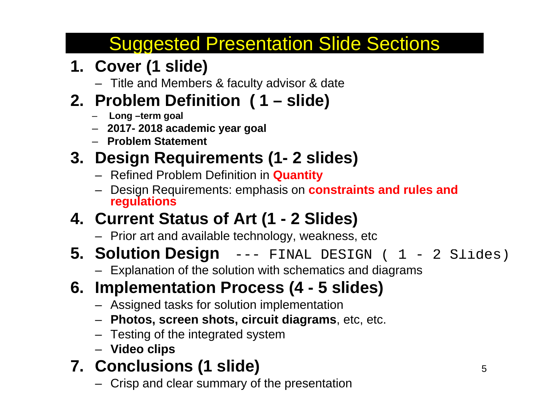## Suggested Presentation Slide Sections

### **1. Cover (1 slide)**

– Title and Members & faculty advisor & date

### **2. Problem Definition ( 1 – slide)**

- **Long –term goal**
- **2017- 2018 academic year goal**
- **Problem Statement**

#### **3. Design Requirements (1- 2 slides)**

- Refined Problem Definition in **Quantity**
- Design Requirements: emphasis on **constraints and rules and regulations**

### **4. Current Status of Art (1 - 2 Slides)**

- Prior art and available technology, weakness, etc
- **5. Solution Design** --- FINAL DESIGN ( 1 2 Slides)
	- Explanation of the solution with schematics and diagrams

#### **6. Implementation Process (4 - 5 slides)**

- Assigned tasks for solution implementation
- **Photos, screen shots, circuit diagrams**, etc, etc.
- Testing of the integrated system
- **Video clips**

#### **7. Conclusions (1 slide)**

– Crisp and clear summary of the presentation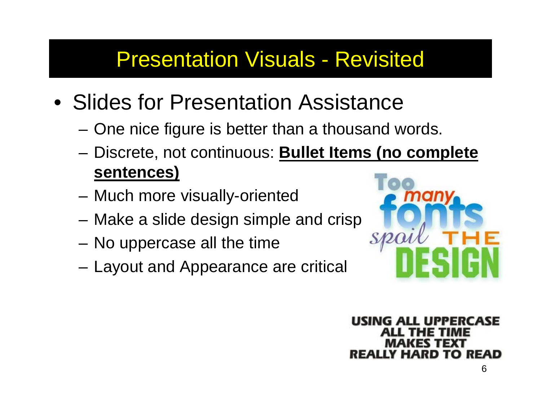## Presentation Visuals - Revisited

- Slides for Presentation Assistance
	- One nice figure is better than a thousand words.
	- Discrete, not continuous: **Bullet Items (no complete sentences)**
	- –Much more visually-oriented
	- –Make a slide design simple and crisp
	- No uppercase all the time
	- Layout and Appearance are critical



ALL UPPERCASE Y HARD TO READ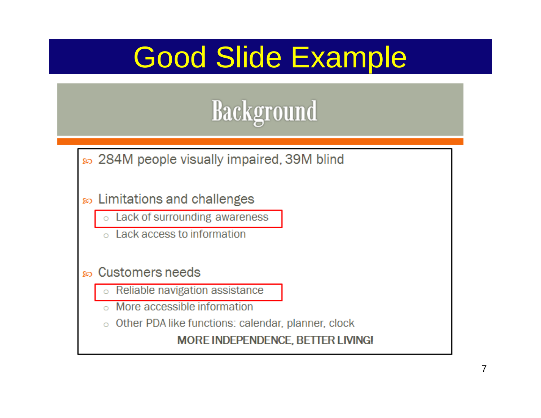

≥ 284M people visually impaired, 39M blind

- so Limitations and challenges
	- Lack of surrounding awareness  $\circ$
	- Lack access to information

Customers needs ဆ

- Reliable navigation assistance
- More accessible information
- Other PDA like functions: calendar, planner, clock

**MORE INDEPENDENCE, BETTER LIVING!**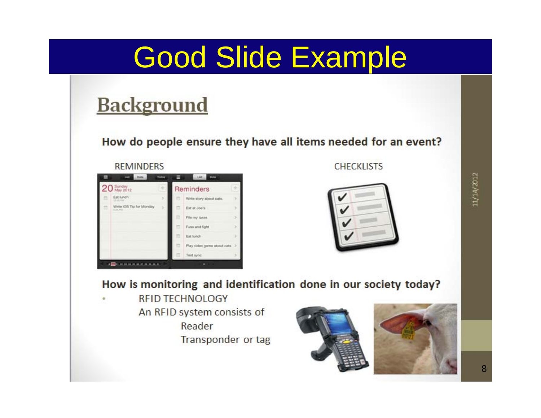## **Background**

How do people ensure they have all items needed for an event?

#### **REMINDERS**

| 20 Sunday |                                         | ÷ | Reminders |                              |  |  |  |  |
|-----------|-----------------------------------------|---|-----------|------------------------------|--|--|--|--|
|           | Eat lunch<br><b>STARTING</b>            | э | 罚         | Write story about cats.      |  |  |  |  |
| m         | Write IOS Tip for Monday<br>SLAN AND CO | s | 罚         | Eat at Joe's                 |  |  |  |  |
|           |                                         |   | 罚         | File my taxes                |  |  |  |  |
|           |                                         |   | ⊟         | Fuss and fight               |  |  |  |  |
|           |                                         |   | 面         | Eat lunch                    |  |  |  |  |
|           |                                         |   | 罚         | Play video game about cats 3 |  |  |  |  |
|           |                                         |   | 罚         | Test sync                    |  |  |  |  |

#### **CHECKLISTS**



11/14/2012

#### How is monitoring and identification done in our society today?

**REID TECHNOLOGY** An RFID system consists of Reader Transponder or tag



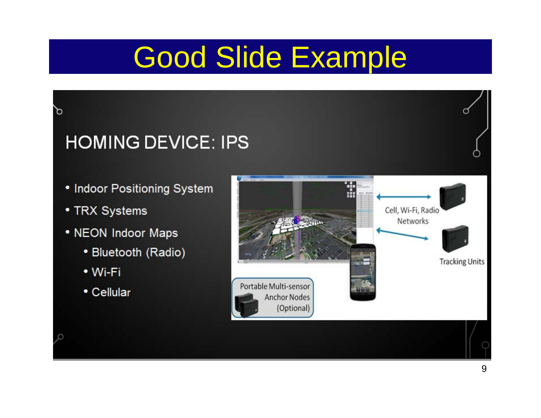## **HOMING DEVICE: IPS**

- Indoor Positioning System
- TRX Systems

 $\varphi$ 

Ω

- NEON Indoor Maps
	- Bluetooth (Radio)
	- Wi-Fi
	- Cellular

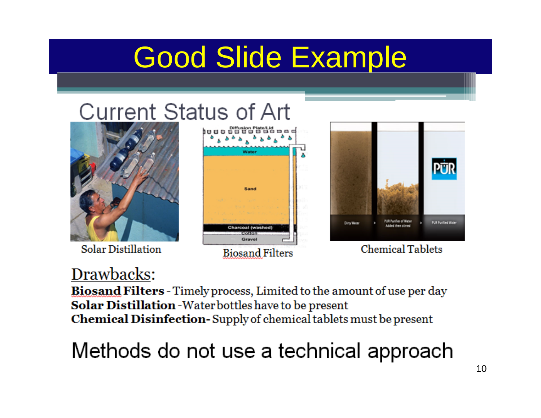Sand

**Charcoal (washed** 

## **Current Status of Art**



**Solar Distillation** 

#### Drawbacks:

Biosand Filters - Timely process, Limited to the amount of use per day Solar Distillation - Water bottles have to be present **Chemical Disinfection-Supply of chemical tablets must be present** 

**Biosand Filters** 

Methods do not use a technical approach



**Chemical Tablets**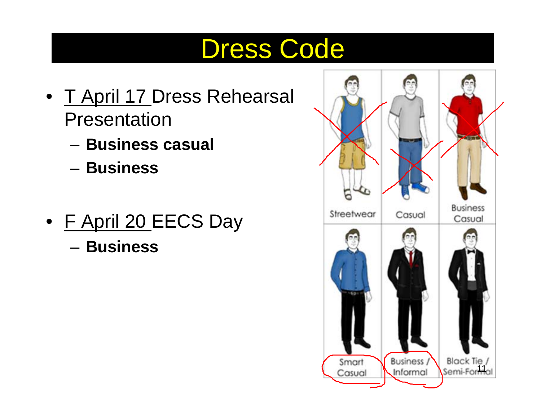## Dress Code

- T April 17 Dress Rehearsal Presentation
	- **Business casual**
	- **Business**
- <u>F April 20 </u>EECS Day – **Business**

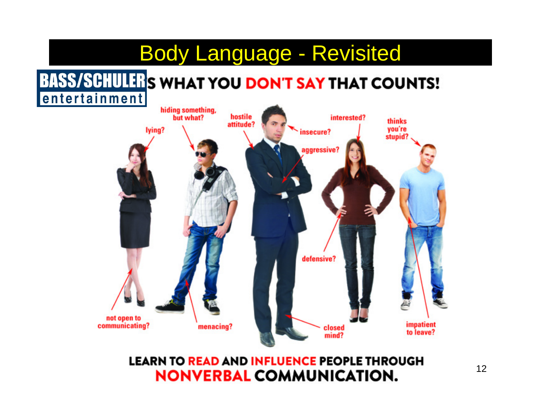## Body Language - Revisited

#### **BASS/SCHULER'S WHAT YOU DON'T SAY THAT COUNTS!** entertainment



#### **LEARN TO READ AND INFLUENCE PEOPLE THROUGH NONVERBAL COMMUNICATION.**